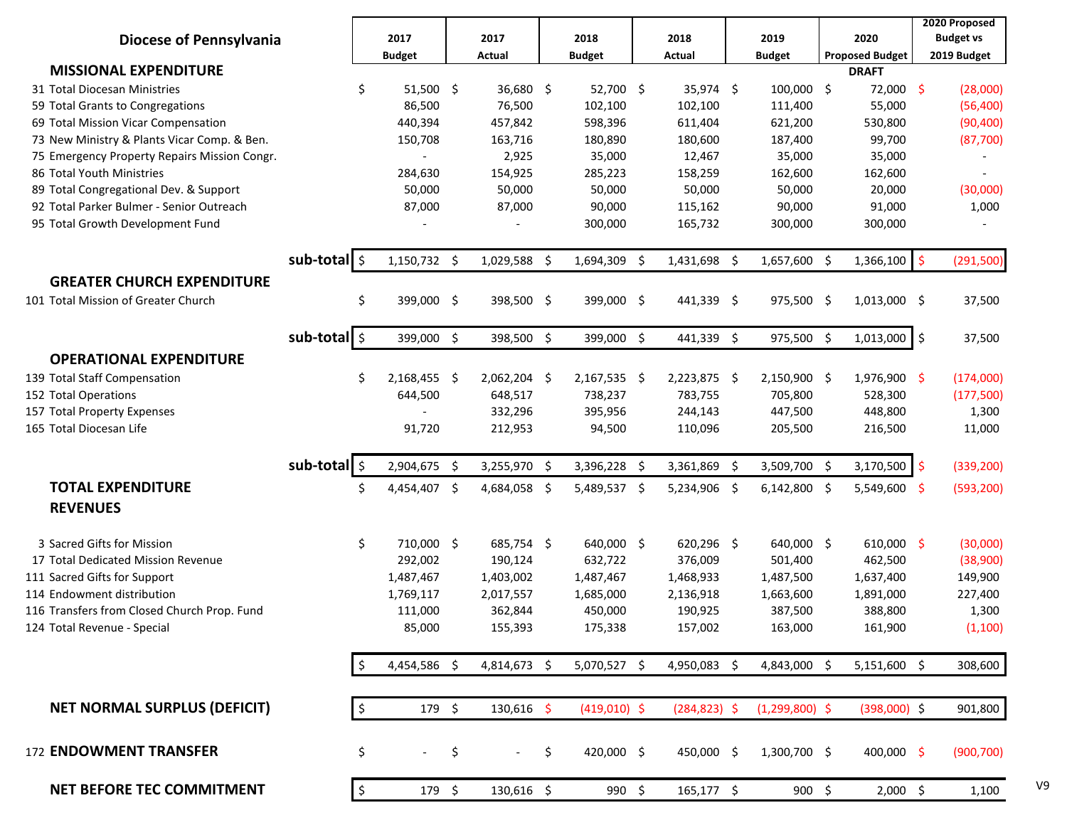|                                              |              |               |               |                      |                |                 |                  |     |                        | 2020 Proposed    |
|----------------------------------------------|--------------|---------------|---------------|----------------------|----------------|-----------------|------------------|-----|------------------------|------------------|
| <b>Diocese of Pennsylvania</b>               |              |               | 2017          | 2017                 | 2018           | 2018            | 2019             |     | 2020                   | <b>Budget vs</b> |
|                                              |              |               | <b>Budget</b> | Actual               | <b>Budget</b>  | Actual          | <b>Budget</b>    |     | <b>Proposed Budget</b> | 2019 Budget      |
| <b>MISSIONAL EXPENDITURE</b>                 |              |               |               |                      |                |                 |                  |     | <b>DRAFT</b>           |                  |
| 31 Total Diocesan Ministries                 |              | \$            | $51,500$ \$   | $36,680$ \$          | 52,700 \$      | 35,974 \$       | 100,000 \$       |     | 72,000 \$              | (28,000)         |
| 59 Total Grants to Congregations             |              |               | 86,500        | 76,500               | 102,100        | 102,100         | 111,400          |     | 55,000                 | (56, 400)        |
| 69 Total Mission Vicar Compensation          |              |               | 440,394       | 457,842              | 598,396        | 611,404         | 621,200          |     | 530,800                | (90, 400)        |
| 73 New Ministry & Plants Vicar Comp. & Ben.  |              |               | 150,708       | 163,716              | 180,890        | 180,600         | 187,400          |     | 99,700                 | (87,700)         |
| 75 Emergency Property Repairs Mission Congr. |              |               |               | 2,925                | 35,000         | 12,467          | 35,000           |     | 35,000                 |                  |
| 86 Total Youth Ministries                    |              |               | 284,630       | 154,925              | 285,223        | 158,259         | 162,600          |     | 162,600                |                  |
| 89 Total Congregational Dev. & Support       |              |               | 50,000        | 50,000               | 50,000         | 50,000          | 50,000           |     | 20,000                 | (30,000)         |
| 92 Total Parker Bulmer - Senior Outreach     |              |               | 87,000        | 87,000               | 90,000         | 115,162         | 90,000           |     | 91,000                 | 1,000            |
| 95 Total Growth Development Fund             |              |               |               |                      | 300,000        | 165,732         | 300,000          |     | 300,000                |                  |
|                                              |              |               |               |                      |                |                 |                  |     |                        |                  |
|                                              | sub-total \$ |               | 1,150,732 \$  | 1,029,588 \$         | $1,694,309$ \$ | $1,431,698$ \$  | $1,657,600$ \$   |     | 1,366,100              | \$<br>(291, 500) |
| <b>GREATER CHURCH EXPENDITURE</b>            |              |               |               |                      |                |                 |                  |     |                        |                  |
| 101 Total Mission of Greater Church          |              | \$            | 399,000 \$    | 398,500 \$           | 399,000 \$     | 441,339 \$      | 975,500 \$       |     | $1,013,000$ \$         | 37,500           |
|                                              |              |               |               |                      |                |                 |                  |     |                        |                  |
|                                              | sub-total \$ |               | 399,000 \$    | 398,500 \$           | 399,000 \$     | 441,339 \$      | 975,500 \$       |     | $1,013,000$ \$         | 37,500           |
| <b>OPERATIONAL EXPENDITURE</b>               |              |               |               |                      |                |                 |                  |     |                        |                  |
| 139 Total Staff Compensation                 |              | \$            | 2,168,455 \$  | 2,062,204 \$         | 2,167,535 \$   | 2,223,875 \$    | 2,150,900 \$     |     | 1,976,900 \$           | (174,000)        |
| 152 Total Operations                         |              |               | 644,500       | 648,517              | 738,237        | 783,755         | 705,800          |     | 528,300                | (177,500)        |
| 157 Total Property Expenses                  |              |               |               | 332,296              | 395,956        | 244,143         | 447,500          |     | 448,800                | 1,300            |
| 165 Total Diocesan Life                      |              |               | 91,720        | 212,953              | 94,500         | 110,096         | 205,500          |     | 216,500                | 11,000           |
|                                              |              |               |               |                      |                |                 |                  |     |                        |                  |
|                                              | sub-total \$ |               | 2,904,675 \$  | 3,255,970 \$         | 3,396,228 \$   | 3,361,869 \$    | 3,509,700        | -\$ | 3,170,500              | \$<br>(339, 200) |
| <b>TOTAL EXPENDITURE</b>                     |              | Ś.            | 4,454,407 \$  |                      |                |                 | 6,142,800        | -\$ | 5,549,600 \$           | (593, 200)       |
|                                              |              |               |               | 4,684,058 \$         | 5,489,537 \$   | 5,234,906 \$    |                  |     |                        |                  |
| <b>REVENUES</b>                              |              |               |               |                      |                |                 |                  |     |                        |                  |
| 3 Sacred Gifts for Mission                   |              | \$            | 710,000 \$    | 685,754 \$           | 640,000 \$     | 620,296 \$      | 640,000 \$       |     | 610,000 \$             | (30,000)         |
| 17 Total Dedicated Mission Revenue           |              |               | 292,002       | 190,124              | 632,722        | 376,009         | 501,400          |     | 462,500                | (38,900)         |
| 111 Sacred Gifts for Support                 |              |               | 1,487,467     | 1,403,002            | 1,487,467      | 1,468,933       | 1,487,500        |     | 1,637,400              | 149,900          |
| 114 Endowment distribution                   |              |               | 1,769,117     | 2,017,557            | 1,685,000      | 2,136,918       | 1,663,600        |     | 1,891,000              | 227,400          |
| 116 Transfers from Closed Church Prop. Fund  |              |               | 111,000       | 362,844              | 450,000        | 190,925         | 387,500          |     | 388,800                | 1,300            |
| 124 Total Revenue - Special                  |              |               | 85,000        | 155,393              | 175,338        | 157,002         | 163,000          |     | 161,900                | (1,100)          |
|                                              |              |               |               |                      |                |                 |                  |     |                        |                  |
|                                              |              | \$            | 4,454,586 \$  | 4,814,673 \$         | 5,070,527 \$   | 4,950,083 \$    | 4,843,000 \$     |     | $5,151,600$ \$         | 308,600          |
|                                              |              |               |               |                      |                |                 |                  |     |                        |                  |
| <b>NET NORMAL SURPLUS (DEFICIT)</b>          |              | $\frac{1}{2}$ | 179 \$        | 130,616 \$           | $(419,010)$ \$ | $(284, 823)$ \$ | $(1,299,800)$ \$ |     | $(398,000)$ \$         | 901,800          |
|                                              |              |               |               |                      |                |                 |                  |     |                        |                  |
| 172 ENDOWMENT TRANSFER                       |              |               |               |                      | 420,000 \$     | 450,000 \$      | 1,300,700 \$     |     |                        |                  |
|                                              |              | \$            | $\sim$        | \$<br>$\mathbb{Z}^+$ | \$             |                 |                  |     | 400,000 \$             | (900, 700)       |
| <b>NET BEFORE TEC COMMITMENT</b>             |              | $\frac{1}{2}$ | 179 \$        | 130,616 \$           | 990 \$         | 165,177 \$      | 900 \$           |     | $2,000$ \$             | 1,100            |
|                                              |              |               |               |                      |                |                 |                  |     |                        |                  |

V9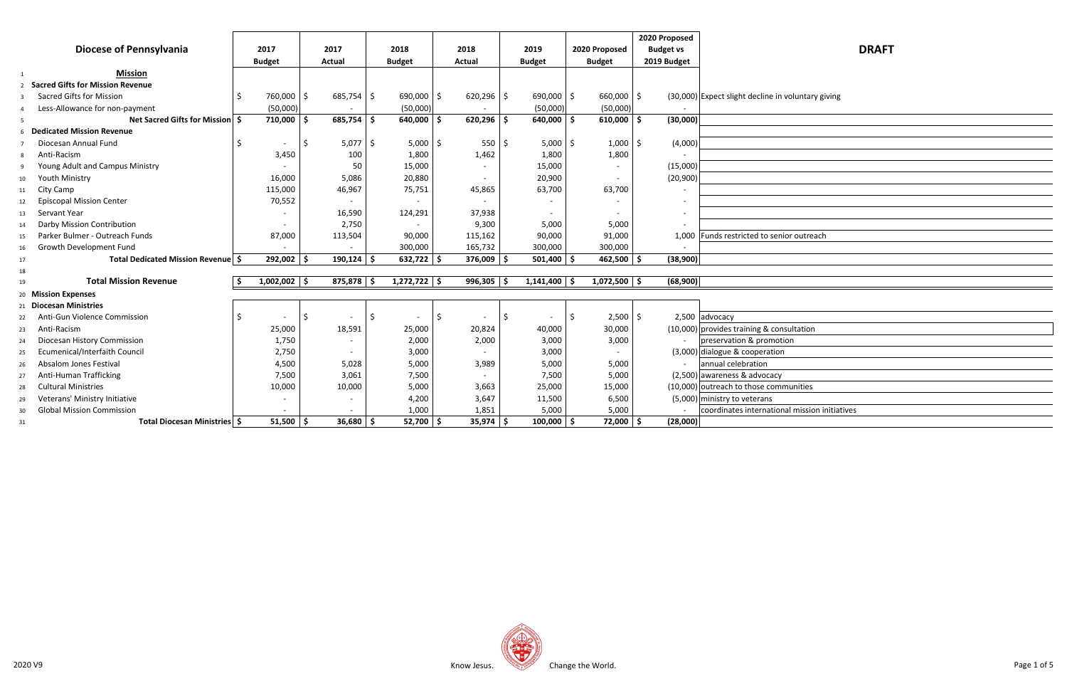|    |                                         |                |     |              |     |                          |                |    |                |    |                          |   | 2020 Proposed    |                                                    |
|----|-----------------------------------------|----------------|-----|--------------|-----|--------------------------|----------------|----|----------------|----|--------------------------|---|------------------|----------------------------------------------------|
|    | <b>Diocese of Pennsylvania</b>          | 2017           |     | 2017         |     | 2018                     | 2018           |    | 2019           |    | 2020 Proposed            |   | <b>Budget vs</b> | <b>DRAFT</b>                                       |
|    |                                         | <b>Budget</b>  |     | Actual       |     | <b>Budget</b>            | <b>Actual</b>  |    | <b>Budget</b>  |    | <b>Budget</b>            |   | 2019 Budget      |                                                    |
| 1  | <b>Mission</b>                          |                |     |              |     |                          |                |    |                |    |                          |   |                  |                                                    |
|    | <b>Sacred Gifts for Mission Revenue</b> |                |     |              |     |                          |                |    |                |    |                          |   |                  |                                                    |
| -3 | <b>Sacred Gifts for Mission</b>         | 760,000        | -\$ | $685,754$ \$ |     | $690,000$ \$             | $620,296$ \$   |    | $690,000$ \$   |    | 660,000 \$               |   |                  | (30,000) Expect slight decline in voluntary giving |
|    | Less-Allowance for non-payment          | (50,000)       |     |              |     | (50,000)                 |                |    | (50,000)       |    | (50,000)                 |   |                  |                                                    |
| 5  | Net Sacred Gifts for Mission   \$       | 710,000        | Ŝ.  | $685,754$ \$ |     | $640,000$ \$             | 620,296        | -Ś | $640,000$   \$ |    | 610,000                  | 5 | (30,000)         |                                                    |
|    | <b>Dedicated Mission Revenue</b>        |                |     |              |     |                          |                |    |                |    |                          |   |                  |                                                    |
|    | Diocesan Annual Fund                    |                |     | 5,077        | 1\$ | $5,000$ \$               | $550$ \$       |    | $5,000$ \$     |    | $1,000$ \$               |   | (4,000)          |                                                    |
|    | Anti-Racism                             | 3,450          |     | 100          |     | 1,800                    | 1,462          |    | 1,800          |    | 1,800                    |   |                  |                                                    |
| 9  | Young Adult and Campus Ministry         |                |     | 50           |     | 15,000                   |                |    | 15,000         |    |                          |   | (15,000)         |                                                    |
| 10 | Youth Ministry                          | 16,000         |     | 5,086        |     | 20,880                   |                |    | 20,900         |    |                          |   | (20, 900)        |                                                    |
| 11 | City Camp                               | 115,000        |     | 46,967       |     | 75,751                   | 45,865         |    | 63,700         |    | 63,700                   |   |                  |                                                    |
| 12 | <b>Episcopal Mission Center</b>         | 70,552         |     |              |     | $\overline{\phantom{a}}$ |                |    |                |    |                          |   |                  |                                                    |
| 13 | Servant Year                            |                |     | 16,590       |     | 124,291                  | 37,938         |    |                |    | $\overline{\phantom{a}}$ |   |                  |                                                    |
| 14 | Darby Mission Contribution              |                |     | 2,750        |     |                          | 9,300          |    | 5,000          |    | 5,000                    |   |                  |                                                    |
| 15 | Parker Bulmer - Outreach Funds          | 87,000         |     | 113,504      |     | 90,000                   | 115,162        |    | 90,000         |    | 91,000                   |   |                  | 1,000 Funds restricted to senior outreach          |
| 16 | Growth Development Fund                 |                |     |              |     | 300,000                  | 165,732        |    | 300,000        |    | 300,000                  |   |                  |                                                    |
| 17 | Total Dedicated Mission Revenue   \$    | $292,002$ \$   |     | $190,124$ \$ |     | $632,722$ \$             | $376,009$   \$ |    | $501,400$   \$ |    | $462,500$   \$           |   | (38,900)         |                                                    |
| 18 |                                         |                |     |              |     |                          |                |    |                |    |                          |   |                  |                                                    |
| 19 | <b>Total Mission Revenue</b>            | $1,002,002$ \$ |     | $875,878$ \$ |     | $1,272,722$ \$           | $996,305$ \$   |    | $1,141,400$ \$ |    | $1,072,500$ \$           |   | (68,900)         |                                                    |
|    | 20 Mission Expenses                     |                |     |              |     |                          |                |    |                |    |                          |   |                  |                                                    |
|    | <b>Diocesan Ministries</b>              |                |     |              |     |                          |                |    |                |    |                          |   |                  |                                                    |
| 22 | Anti-Gun Violence Commission            |                | Ŝ.  |              | -S  |                          | \$             | \$ |                | -Ś | 2,500                    | 5 |                  | 2,500 advocacy                                     |
| 23 | Anti-Racism                             | 25,000         |     | 18,591       |     | 25,000                   | 20,824         |    | 40,000         |    | 30,000                   |   |                  | $(10,000)$ provides training & consultation        |
| 24 | Diocesan History Commission             | 1,750          |     |              |     | 2,000                    | 2,000          |    | 3,000          |    | 3,000                    |   |                  | preservation & promotion                           |
| 25 | Ecumenical/Interfaith Council           | 2,750          |     |              |     | 3,000                    |                |    | 3,000          |    | $\blacksquare$           |   |                  | $(3,000)$ dialogue & cooperation                   |
| 26 | Absalom Jones Festival                  | 4,500          |     | 5,028        |     | 5,000                    | 3,989          |    | 5,000          |    | 5,000                    |   |                  | annual celebration                                 |
| 27 | Anti-Human Trafficking                  | 7,500          |     | 3,061        |     | 7,500                    |                |    | 7,500          |    | 5,000                    |   |                  | $(2,500)$ awareness & advocacy                     |
| 28 | <b>Cultural Ministries</b>              | 10,000         |     | 10,000       |     | 5,000                    | 3,663          |    | 25,000         |    | 15,000                   |   |                  | (10,000) outreach to those communities             |
| 29 | Veterans' Ministry Initiative           |                |     |              |     | 4,200                    | 3,647          |    | 11,500         |    | 6,500                    |   |                  | $(5,000)$ ministry to veterans                     |
| 30 | <b>Global Mission Commission</b>        |                |     |              |     | 1,000                    | 1,851          |    | 5,000          |    | 5,000                    |   |                  | coordinates international mission initiatives      |
| 31 | Total Diocesan Ministries   \$          | 51,500         | - Ś | $36,680$ \$  |     | $52,700$   \$            | $35,974$ \$    |    | $100,000$   \$ |    | $72,000$   \$            |   | (28,000)         |                                                    |

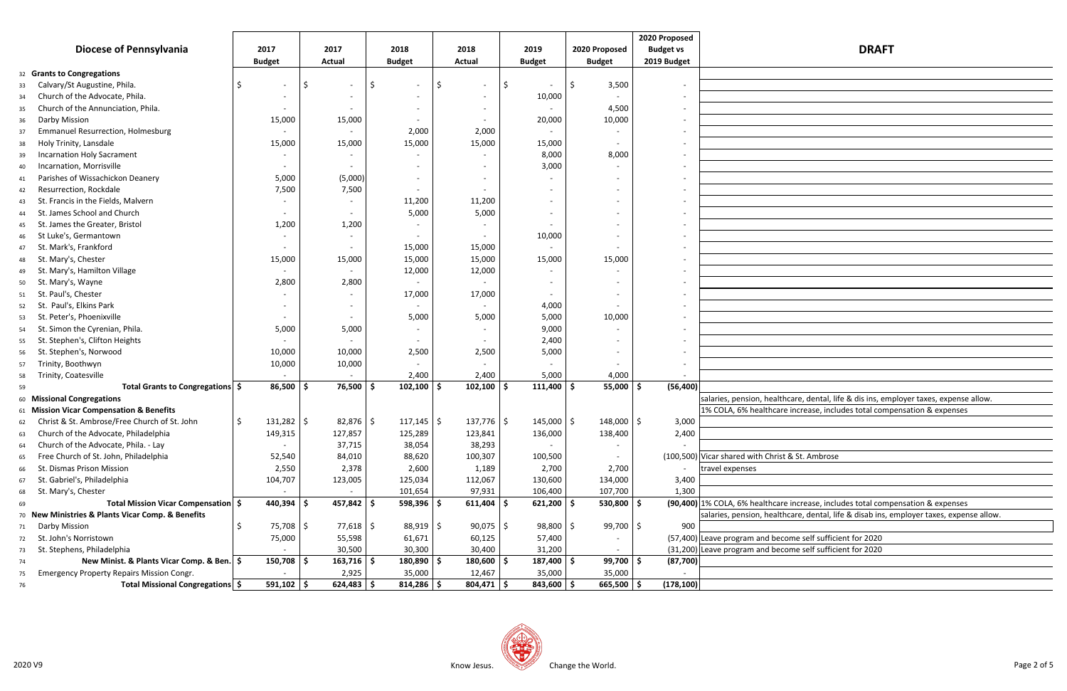|                                                                        |                          |                          |                          |                |                      |                | 2020 Proposed            |                                                                                         |  |  |  |
|------------------------------------------------------------------------|--------------------------|--------------------------|--------------------------|----------------|----------------------|----------------|--------------------------|-----------------------------------------------------------------------------------------|--|--|--|
| <b>Diocese of Pennsylvania</b>                                         | 2017                     | 2017                     | 2018                     | 2018           | 2019                 | 2020 Proposed  | <b>Budget vs</b>         | <b>DRAFT</b>                                                                            |  |  |  |
|                                                                        | <b>Budget</b>            | <b>Actual</b>            | <b>Budget</b>            | <b>Actual</b>  | <b>Budget</b>        | <b>Budget</b>  | 2019 Budget              |                                                                                         |  |  |  |
| 32 Grants to Congregations                                             |                          |                          |                          |                |                      |                |                          |                                                                                         |  |  |  |
| Calvary/St Augustine, Phila.<br>33                                     | $\overline{\phantom{a}}$ | \$                       |                          | Ŝ.             |                      | 3,500<br>Ŝ.    | $\overline{\phantom{a}}$ |                                                                                         |  |  |  |
| Church of the Advocate, Phila.<br>34                                   |                          |                          |                          |                | 10,000               |                |                          |                                                                                         |  |  |  |
| Church of the Annunciation, Phila.<br>35                               |                          |                          |                          |                |                      | 4,500          |                          |                                                                                         |  |  |  |
| Darby Mission<br>36                                                    | 15,000                   | 15,000                   |                          |                | 20,000               | 10,000         |                          |                                                                                         |  |  |  |
| <b>Emmanuel Resurrection, Holmesburg</b><br>37                         | $\overline{\phantom{a}}$ |                          | 2,000                    | 2,000          |                      |                |                          |                                                                                         |  |  |  |
| Holy Trinity, Lansdale<br>38                                           | 15,000                   | 15,000                   | 15,000                   | 15,000         | 15,000               |                | $\overline{\phantom{0}}$ |                                                                                         |  |  |  |
| <b>Incarnation Holy Sacrament</b><br>39                                |                          |                          |                          |                | 8,000                | 8,000          | $\overline{\phantom{0}}$ |                                                                                         |  |  |  |
| Incarnation, Morrisville<br>40                                         | $\overline{\phantom{a}}$ |                          | $\overline{\phantom{0}}$ |                | 3,000                |                |                          |                                                                                         |  |  |  |
| Parishes of Wissachickon Deanery<br>41                                 | 5,000                    | (5,000)                  |                          |                |                      |                |                          |                                                                                         |  |  |  |
| Resurrection, Rockdale<br>42                                           | 7,500                    | 7,500                    |                          |                |                      |                |                          |                                                                                         |  |  |  |
| St. Francis in the Fields, Malvern<br>43                               |                          |                          | 11,200                   | 11,200         |                      |                |                          |                                                                                         |  |  |  |
| St. James School and Church<br>44                                      | $\overline{\phantom{a}}$ |                          | 5,000                    | 5,000          |                      |                |                          |                                                                                         |  |  |  |
| St. James the Greater, Bristol<br>45                                   | 1,200                    | 1,200                    |                          |                |                      |                |                          |                                                                                         |  |  |  |
| St Luke's, Germantown<br>46                                            |                          |                          |                          |                | 10,000               |                |                          |                                                                                         |  |  |  |
| St. Mark's, Frankford                                                  |                          |                          | 15,000                   | 15,000         |                      |                | $\overline{\phantom{0}}$ |                                                                                         |  |  |  |
| 47<br>St. Mary's, Chester                                              | 15,000                   | 15,000                   | 15,000                   | 15,000         | 15,000               | 15,000         |                          |                                                                                         |  |  |  |
| 48<br>St. Mary's, Hamilton Village                                     | $\overline{\phantom{a}}$ | $\overline{\phantom{a}}$ | 12,000                   | 12,000         |                      |                |                          |                                                                                         |  |  |  |
| 49<br>St. Mary's, Wayne                                                | 2,800                    | 2,800                    |                          |                |                      |                |                          |                                                                                         |  |  |  |
| 50<br>St. Paul's, Chester                                              |                          |                          | 17,000                   | 17,000         |                      |                |                          |                                                                                         |  |  |  |
| 51<br>St. Paul's, Elkins Park                                          |                          |                          |                          |                |                      |                |                          |                                                                                         |  |  |  |
| 52<br>St. Peter's, Phoenixville                                        |                          |                          |                          | 5,000          | 4,000<br>5,000       | 10,000         |                          |                                                                                         |  |  |  |
| 53                                                                     | $\overline{\phantom{a}}$ |                          | 5,000                    |                |                      |                |                          |                                                                                         |  |  |  |
| St. Simon the Cyrenian, Phila.<br>54<br>St. Stephen's, Clifton Heights | 5,000                    | 5,000                    |                          |                | 9,000<br>2,400       |                |                          |                                                                                         |  |  |  |
| 55<br>St. Stephen's, Norwood                                           |                          |                          |                          |                |                      |                |                          |                                                                                         |  |  |  |
| 56                                                                     | 10,000                   | 10,000                   | 2,500                    | 2,500          | 5,000                |                |                          |                                                                                         |  |  |  |
| Trinity, Boothwyn<br>57                                                | 10,000                   | 10,000                   |                          |                |                      |                |                          |                                                                                         |  |  |  |
| Trinity, Coatesville<br>58                                             |                          |                          | 2,400                    | 2,400          | 5,000                | 4,000          |                          |                                                                                         |  |  |  |
| Total Grants to Congregations   \$<br>59                               | 86,500                   | 76,500<br>Ŝ.             | 102,100<br><b>S</b>      | 102,100        | $111,400$   \$<br>ΙS | $55,000$   \$  | (56, 400)                |                                                                                         |  |  |  |
| <b>Missional Congregations</b><br>60                                   |                          |                          |                          |                |                      |                |                          | salaries, pension, healthcare, dental, life & dis ins, employer taxes, expense allow.   |  |  |  |
| 61 Mission Vicar Compensation & Benefits                               |                          |                          |                          |                |                      |                |                          | 1% COLA, 6% healthcare increase, includes total compensation & expenses                 |  |  |  |
| Christ & St. Ambrose/Free Church of St. John<br>62                     | $131,282$ \$             | $82,876$   \$            | $117,145$   \$           | $137,776$   \$ | $145,000$   \$       | $148,000$   \$ | 3,000                    |                                                                                         |  |  |  |
| Church of the Advocate, Philadelphia<br>63                             | 149,315                  | 127,857                  | 125,289                  | 123,841        | 136,000              | 138,400        | 2,400                    |                                                                                         |  |  |  |
| Church of the Advocate, Phila. - Lay<br>64                             |                          | 37,715                   | 38,054                   | 38,293         |                      |                |                          |                                                                                         |  |  |  |
| Free Church of St. John, Philadelphia<br>65                            | 52,540                   | 84,010                   | 88,620                   | 100,307        | 100,500              |                |                          | (100,500) Vicar shared with Christ & St. Ambrose                                        |  |  |  |
| St. Dismas Prison Mission<br>66                                        | 2,550                    | 2,378                    | 2,600                    | 1,189          | 2,700                | 2,700          |                          | ravel expenses:                                                                         |  |  |  |
| St. Gabriel's, Philadelphia<br>67                                      | 104,707                  | 123,005                  | 125,034                  | 112,067        | 130,600              | 134,000        | 3,400                    |                                                                                         |  |  |  |
| St. Mary's, Chester<br>68                                              |                          |                          | 101,654                  | 97,931         | 106,400              | 107,700        | 1,300                    |                                                                                         |  |  |  |
| Total Mission Vicar Compensation \$<br>69                              | 440,394                  | $457,842$   \$<br>S      | $598,396$ \$             | $611,404$ \$   | $621,200$ \$         | $530,800$   \$ |                          | (90,400) 1% COLA, 6% healthcare increase, includes total compensation & expenses        |  |  |  |
| 70 New Ministries & Plants Vicar Comp. & Benefits                      |                          |                          |                          |                |                      |                |                          | salaries, pension, healthcare, dental, life & disab ins, employer taxes, expense allow. |  |  |  |
| Darby Mission<br>71                                                    | 75,708                   | $77,618$ \$<br>S         | $88,919$ \$              | $90,075$ \$    | $98,800$ \$          | $99,700$ \$    | 900                      |                                                                                         |  |  |  |
| St. John's Norristown<br>72                                            | 75,000                   | 55,598                   | 61,671                   | 60,125         | 57,400               |                |                          | (57,400) Leave program and become self sufficient for 2020                              |  |  |  |
| St. Stephens, Philadelphia<br>73                                       |                          | 30,500                   | 30,300                   | 30,400         | 31,200               |                |                          | (31,200) Leave program and become self sufficient for 2020                              |  |  |  |
| New Minist. & Plants Vicar Comp. & Ben.   \$<br>74                     | 150,708                  | $163,716$ \$<br>\$       | $180,890$ \$             | $180,600$   \$ | $187,400$ \$         | $99,700$   \$  | (87, 700)                |                                                                                         |  |  |  |
| <b>Emergency Property Repairs Mission Congr.</b><br>75                 |                          | 2,925                    | 35,000                   | 12,467         | 35,000               | 35,000         |                          |                                                                                         |  |  |  |
| Total Missional Congregations   \$<br>76                               | $591,102$ \$             | $624,483$ \$             | $814,286$ \$             | $804,471$ \$   | $843,600$ \$         | $665,500$   \$ | (178, 100)               |                                                                                         |  |  |  |



| Ithcare, dental, life & dis ins, employer taxes, expense allow.   |
|-------------------------------------------------------------------|
| are increase, includes total compensation & expenses              |
|                                                                   |
|                                                                   |
|                                                                   |
| ist & St. Ambrose                                                 |
|                                                                   |
|                                                                   |
|                                                                   |
| are increase, includes total compensation & expenses              |
| Ithcare, dental, life & disab ins, employer taxes, expense allow. |
|                                                                   |
| ecome self sufficient for 2020<br>ecome self sufficient for 2020  |
|                                                                   |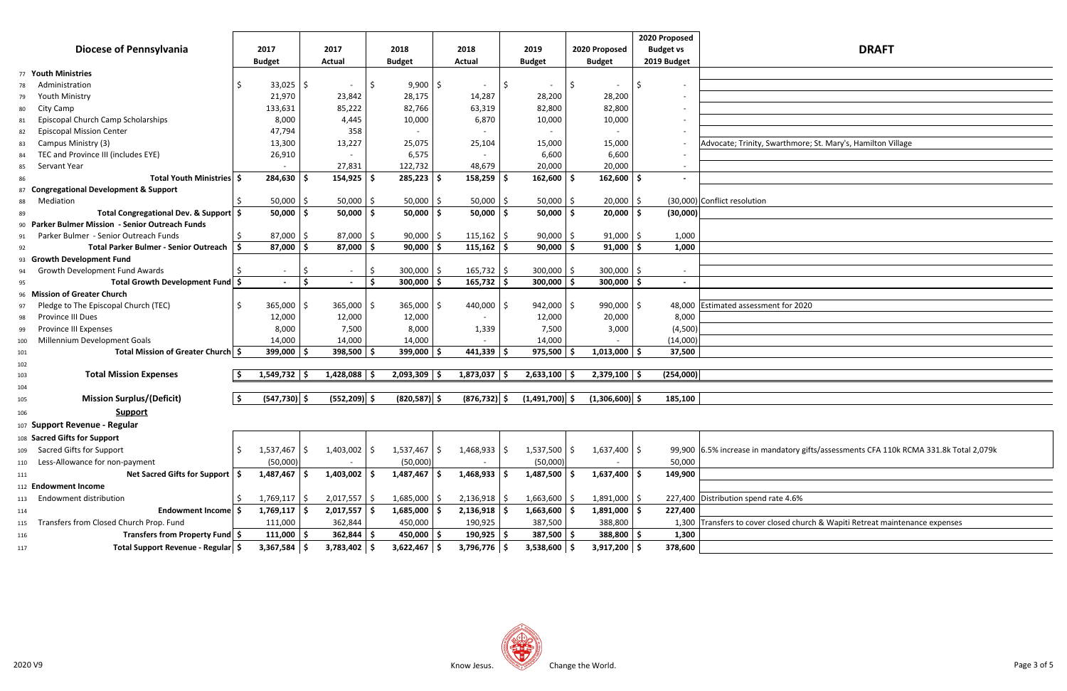|                                                  |                        |    |                          |      |                  |     |                 |                          |    |                  |      | 2020 Proposed    |                                                                                       |
|--------------------------------------------------|------------------------|----|--------------------------|------|------------------|-----|-----------------|--------------------------|----|------------------|------|------------------|---------------------------------------------------------------------------------------|
| <b>Diocese of Pennsylvania</b>                   | 2017                   |    | 2017                     |      | 2018             |     | 2018            | 2019                     |    | 2020 Proposed    |      | <b>Budget vs</b> | <b>DRAFT</b>                                                                          |
|                                                  | <b>Budget</b>          |    | Actual                   |      | <b>Budget</b>    |     | Actual          | <b>Budget</b>            |    | <b>Budget</b>    |      | 2019 Budget      |                                                                                       |
| 77 Youth Ministries                              |                        |    |                          |      |                  |     |                 |                          |    |                  |      |                  |                                                                                       |
| Administration<br>78                             | $33,025$ $\frac{1}{5}$ |    |                          |      | $9,900$   \$     |     |                 | $\overline{\phantom{0}}$ | \$ |                  | Ŝ.   |                  |                                                                                       |
| <b>Youth Ministry</b><br>79                      | 21,970                 |    | 23,842                   |      | 28,175           |     | 14,287          | 28,200                   |    | 28,200           |      |                  |                                                                                       |
| City Camp<br>80                                  | 133,631                |    | 85,222                   |      | 82,766           |     | 63,319          | 82,800                   |    | 82,800           |      |                  |                                                                                       |
| Episcopal Church Camp Scholarships<br>81         | 8,000                  |    | 4,445                    |      | 10,000           |     | 6,870           | 10,000                   |    | 10,000           |      |                  |                                                                                       |
| <b>Episcopal Mission Center</b><br>82            | 47,794                 |    | 358                      |      |                  |     |                 |                          |    |                  |      |                  |                                                                                       |
| Campus Ministry (3)<br>83                        | 13,300                 |    | 13,227                   |      | 25,075           |     | 25,104          | 15,000                   |    | 15,000           |      |                  | Advocate; Trinity, Swarthmore; St. Mary's, Hamilton Village                           |
| TEC and Province III (includes EYE)<br>84        | 26,910                 |    |                          |      | 6,575            |     |                 | 6,600                    |    | 6,600            |      |                  |                                                                                       |
| Servant Year<br>85                               |                        |    | 27,831                   |      | 122,732          |     | 48,679          | 20,000                   |    | 20,000           |      |                  |                                                                                       |
| Total Youth Ministries   \$<br>86                | $284,630$   \$         |    | 154,925                  |      | $285,223$ \$     |     | $158,259$   \$  | $162,600$ \$             |    | $162,600$ \$     |      |                  |                                                                                       |
| 87 Congregational Development & Support          |                        |    |                          |      |                  |     |                 |                          |    |                  |      |                  |                                                                                       |
| Mediation<br>88                                  | $50,000$   \$          |    | 50,000                   | -Ś   | $50,000$ \$      |     | $50,000$ \$     | 50,000                   | -Ś | $20,000$   \$    |      |                  | (30,000) Conflict resolution                                                          |
| Total Congregational Dev. & Support   \$<br>89   | $50,000$   \$          |    | 50,000                   | - Ś  | $50,000$   \$    |     | $50,000$   \$   | $50,000$   \$            |    | 20,000           | l \$ | (30,000)         |                                                                                       |
| 90 Parker Bulmer Mission - Senior Outreach Funds |                        |    |                          |      |                  |     |                 |                          |    |                  |      |                  |                                                                                       |
| Parker Bulmer - Senior Outreach Funds<br>91      | $87,000$   \$          |    | 87,000                   | l \$ | 90,000           | l S | $115,162$ \$    | $90,000$   \$            |    | $91,000$   \$    |      | 1,000            |                                                                                       |
| Total Parker Bulmer - Senior Outreach   \$<br>92 | 87,000                 | -S | 87,000                   |      | 90,000           |     | $115,162$   \$  | 90,000                   |    | 91,000           |      | 1,000            |                                                                                       |
| 93 Growth Development Fund                       |                        |    |                          |      |                  |     |                 |                          |    |                  |      |                  |                                                                                       |
| <b>Growth Development Fund Awards</b><br>94      | $\sim$                 | S. |                          | \$   | 300,000          |     | $165,732$ \$    | 300,000                  | .S | 300,000          | -Ś   |                  |                                                                                       |
| Total Growth Development Fund \$<br>95           | $\sim$                 | \$ | $\overline{\phantom{a}}$ | Ŝ.   | $300,000$   \$   |     | $165,732$ \$    | $300,000$ \$             |    | 300,000          | l S  | $\sim$           |                                                                                       |
| 96 Mission of Greater Church                     |                        |    |                          |      |                  |     |                 |                          |    |                  |      |                  |                                                                                       |
| Pledge to The Episcopal Church (TEC)<br>97       | $365,000$ \$           |    | 365,000                  | -S   | $365,000$ \$     |     | 440,000 \$      | 942,000 \$               |    | 990,000 \$       |      |                  | 48,000 Estimated assessment for 2020                                                  |
| Province III Dues<br>98                          | 12,000                 |    | 12,000                   |      | 12,000           |     |                 | 12,000                   |    | 20,000           |      | 8,000            |                                                                                       |
| Province III Expenses<br>99                      | 8,000                  |    | 7,500                    |      | 8,000            |     | 1,339           | 7,500                    |    | 3,000            |      | (4,500)          |                                                                                       |
| Millennium Development Goals<br>100              | 14,000                 |    | 14,000                   |      | 14,000           |     |                 | 14,000                   |    |                  |      | (14,000)         |                                                                                       |
| Total Mission of Greater Church   \$<br>101      | 399,000                |    | 398,500                  |      | 399,000          |     | $441,339$ \$    | 975,500                  |    | $1,013,000$   \$ |      | 37,500           |                                                                                       |
| 102                                              |                        |    |                          |      |                  |     |                 |                          |    |                  |      |                  |                                                                                       |
| <b>Total Mission Expenses</b><br>103             | $1,549,732$ \$         |    | $1,428,088$ \$           |      | $2,093,309$ \$   |     | $1,873,037$ \$  | $2,633,100$ \$           |    | $2,379,100$ \$   |      | (254,000)        |                                                                                       |
| 104                                              |                        |    |                          |      |                  |     |                 |                          |    |                  |      |                  |                                                                                       |
| <b>Mission Surplus/(Deficit)</b><br>105          | $(547, 730)$ \$        |    | $(552, 209)$ \$          |      | $(820, 587)$ \$  |     | $(876, 732)$ \$ | $(1,491,700)$ \$         |    | $(1,306,600)$ \$ |      | 185,100          |                                                                                       |
| <b>Support</b><br>106                            |                        |    |                          |      |                  |     |                 |                          |    |                  |      |                  |                                                                                       |
| 107 Support Revenue - Regular                    |                        |    |                          |      |                  |     |                 |                          |    |                  |      |                  |                                                                                       |
| 108 Sacred Gifts for Support                     |                        |    |                          |      |                  |     |                 |                          |    |                  |      |                  |                                                                                       |
| <b>Sacred Gifts for Support</b><br>109           | $1,537,467$ \$         |    | $1,403,002$ \$           |      | $1,537,467$ \$   |     | $1,468,933$ \$  | $1,537,500$ \$           |    | $1,637,400$ \$   |      |                  | 99,900 6.5% increase in mandatory gifts/assessments CFA 110k RCMA 331.8k Total 2,079k |
| Less-Allowance for non-payment                   | (50,000)               |    |                          |      | (50,000)         |     |                 | (50,000)                 |    |                  |      | 50,000           |                                                                                       |
| 110<br>Net Sacred Gifts for Support   \$         | $1,487,467$ \$         |    | $1,403,002$ \$           |      | $1,487,467$ \$   |     | $1,468,933$ \$  | $1,487,500$ \$           |    | $1,637,400$ \$   |      | 149,900          |                                                                                       |
| 111                                              |                        |    |                          |      |                  |     |                 |                          |    |                  |      |                  |                                                                                       |
| 112 Endowment Income                             |                        |    |                          |      |                  |     |                 |                          |    |                  |      |                  | 227,400 Distribution spend rate 4.6%                                                  |
| Endowment distribution<br>113                    | $1,769,117$ \$         |    | $2,017,557$ \$           |      | $1,685,000$ \$   |     | $2,136,918$ \$  | $1,663,600$ \$           |    | 1,891,000        | l S  |                  |                                                                                       |
| Endowment Income \$<br>114                       | $1,769,117$ \$         |    | $2,017,557$ \$           |      | $1,685,000$   \$ |     | $2,136,918$ \$  | $1,663,600$ \$           |    | $1,891,000$ \$   |      | 227,400          |                                                                                       |
| Transfers from Closed Church Prop. Fund<br>115   | 111,000                |    | 362,844                  |      | 450,000          |     | 190,925         | 387,500                  |    | 388,800          |      |                  | 1,300 Transfers to cover closed church & Wapiti Retreat maintenance expenses          |
| Transfers from Property Fund \$<br>116           | 111,000                | .S | 362,844                  | - Ś  | 450,000 \$       |     | $190,925$ \$    | 387,500 \$               |    | 388,800          |      | 1,300            |                                                                                       |
| Total Support Revenue - Regular \$<br>117        | $3,367,584$ \$         |    | $3,783,402$ \$           |      | $3,622,467$ \$   |     | $3,796,776$ \$  | $3,538,600$ \$           |    | $3,917,200$ \$   |      | 378,600          |                                                                                       |



| <b>DRAFT</b>                                               |
|------------------------------------------------------------|
|                                                            |
|                                                            |
| arthmore; St. Mary's, Hamilton Village                     |
|                                                            |
|                                                            |
|                                                            |
|                                                            |
| t for 2020                                                 |
|                                                            |
|                                                            |
|                                                            |
| datory gifts/assessments CFA 110k RCMA 331.8k Total 2,079k |
|                                                            |
|                                                            |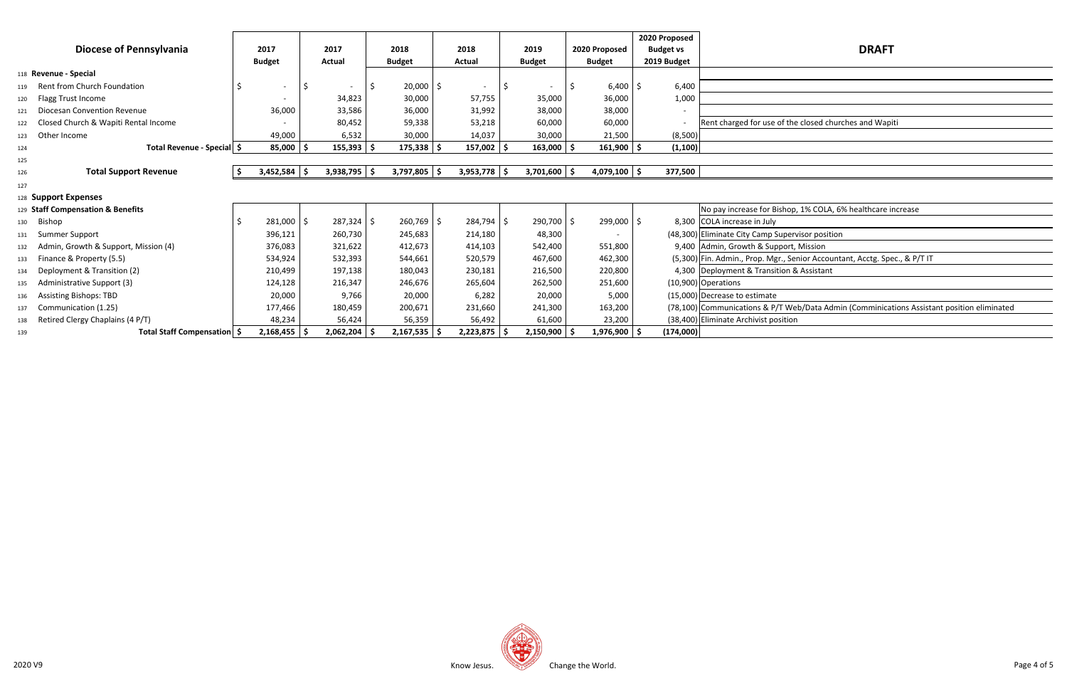**Staff Compensation & Benefits** No pay increase for Bishop, 1% COLA, 6% healthcare increase

53 Senior Accountant, Acctg. Spec., & P/T IT

T Web/Data Admin (Comminications Assistant position eliminated

 $\equiv$ 

|     |                                      |   |                          |     |                  |                  |                          |     |                  |                |                     | 2020 Proposed    |                                                                |
|-----|--------------------------------------|---|--------------------------|-----|------------------|------------------|--------------------------|-----|------------------|----------------|---------------------|------------------|----------------------------------------------------------------|
|     | Diocese of Pennsylvania              |   | 2017                     |     | 2017             | 2018             | 2018                     |     | 2019             | 2020 Proposed  |                     | <b>Budget vs</b> | <b>DRAFT</b>                                                   |
|     |                                      |   | <b>Budget</b>            |     | Actual           | <b>Budget</b>    | Actual                   |     | <b>Budget</b>    | <b>Budget</b>  |                     | 2019 Budget      |                                                                |
|     | 118 Revenue - Special                |   |                          |     |                  |                  |                          |     |                  |                |                     |                  |                                                                |
| 119 | Rent from Church Foundation          |   | $\overline{\phantom{a}}$ | -\$ |                  | $20,000$   \$    | $\overline{\phantom{a}}$ | -\$ |                  | 6,400          | Ŝ.                  | 6,400            |                                                                |
| 120 | Flagg Trust Income                   |   |                          |     | 34,823           | 30,000           | 57,755                   |     | 35,000           | 36,000         |                     | 1,000            |                                                                |
| 121 | Diocesan Convention Revenue          |   | 36,000                   |     | 33,586           | 36,000           | 31,992                   |     | 38,000           | 38,000         |                     |                  |                                                                |
| 122 | Closed Church & Wapiti Rental Income |   |                          |     | 80,452           | 59,338           | 53,218                   |     | 60,000           | 60,000         |                     |                  | Rent charged for use of the closed churches and Wapi           |
| 123 | Other Income                         |   | 49,000                   |     | 6,532            | 30,000           | 14,037                   |     | 30,000           | 21,500         |                     | (8,500)          |                                                                |
| 124 | Total Revenue - Special \$           |   | $85,000$   \$            |     | $155,393$   \$   | $175,338$ \$     | $157,002$ \$             |     | $163,000$ \$     | 161,900        | $\ddot{\bm{\zeta}}$ | (1, 100)         |                                                                |
| 125 |                                      |   |                          |     |                  |                  |                          |     |                  |                |                     |                  |                                                                |
| 126 | <b>Total Support Revenue</b>         | S | $3,452,584$ \$           |     | $3,938,795$ \$   | $3,797,805$ \$   | $3,953,778$ \$           |     | $3,701,600$ \$   | $4,079,100$ \$ |                     | 377,500          |                                                                |
| 127 |                                      |   |                          |     |                  |                  |                          |     |                  |                |                     |                  |                                                                |
|     | 128 Support Expenses                 |   |                          |     |                  |                  |                          |     |                  |                |                     |                  |                                                                |
|     | 129 Staff Compensation & Benefits    |   |                          |     |                  |                  |                          |     |                  |                |                     |                  | No pay increase for Bishop, 1% COLA, 6% healthcare in          |
| 130 | Bishop                               |   | $281,000$ \$             |     | $287,324$ \$     | $260,769$ \$     | $284,794$ \$             |     | 290,700 \$       | 299,000 \$     |                     |                  | 8,300 COLA increase in July                                    |
| 131 | Summer Support                       |   | 396,121                  |     | 260,730          | 245,683          | 214,180                  |     | 48,300           |                |                     |                  | (48,300) Eliminate City Camp Supervisor position               |
| 132 | Admin, Growth & Support, Mission (4) |   | 376,083                  |     | 321,622          | 412,673          | 414,103                  |     | 542,400          | 551,800        |                     |                  | 9,400 Admin, Growth & Support, Mission                         |
| 133 | Finance & Property (5.5)             |   | 534,924                  |     | 532,393          | 544,661          | 520,579                  |     | 467,600          | 462,300        |                     |                  | (5,300) Fin. Admin., Prop. Mgr., Senior Accountant, Acctg. Spe |
| 134 | Deployment & Transition (2)          |   | 210,499                  |     | 197,138          | 180,043          | 230,181                  |     | 216,500          | 220,800        |                     |                  | 4,300 Deployment & Transition & Assistant                      |
| 135 | Administrative Support (3)           |   | 124,128                  |     | 216,347          | 246,676          | 265,604                  |     | 262,500          | 251,600        |                     |                  | $(10,900)$ Operations                                          |
| 136 | <b>Assisting Bishops: TBD</b>        |   | 20,000                   |     | 9,766            | 20,000           | 6,282                    |     | 20,000           | 5,000          |                     |                  | (15,000) Decrease to estimate                                  |
| 137 | Communication (1.25)                 |   | 177,466                  |     | 180,459          | 200,671          | 231,660                  |     | 241,300          | 163,200        |                     |                  | (78,100) Communications & P/T Web/Data Admin (Comminicat       |
| 138 | Retired Clergy Chaplains (4 P/T)     |   | 48,234                   |     | 56,424           | 56,359           | 56,492                   |     | 61,600           | 23,200         |                     |                  | (38,400) Eliminate Archivist position                          |
| 139 | Total Staff Compensation   \$        |   | $2,168,455$ \$           |     | $2,062,204$   \$ | $2,167,535$   \$ | $2,223,875$ \$           |     | $2,150,900$   \$ | $1,976,900$ \$ |                     | (174,000)        |                                                                |



f the closed churches and Wapiti